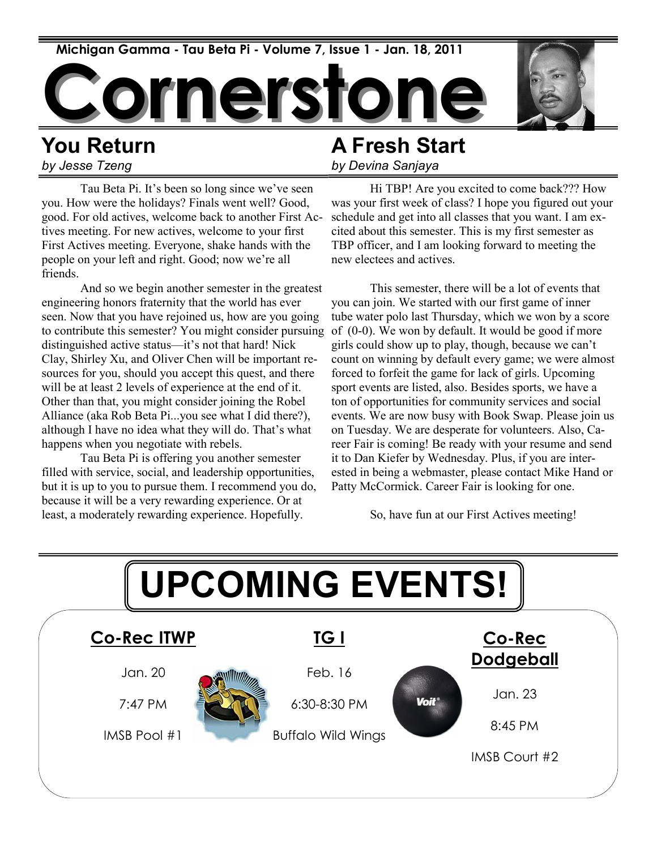

## **You Return** *by Jesse Tzeng*

Tau Beta Pi. It's been so long since we've seen you. How were the holidays? Finals went well? Good, good. For old actives, welcome back to another First Actives meeting. For new actives, welcome to your first First Actives meeting. Everyone, shake hands with the people on your left and right. Good; now we're all friends.

And so we begin another semester in the greatest engineering honors fraternity that the world has ever seen. Now that you have rejoined us, how are you going to contribute this semester? You might consider pursuing distinguished active status—it's not that hard! Nick Clay, Shirley Xu, and Oliver Chen will be important resources for you, should you accept this quest, and there will be at least 2 levels of experience at the end of it. Other than that, you might consider joining the Robel Alliance (aka Rob Beta Pi...you see what I did there?), although I have no idea what they will do. That's what happens when you negotiate with rebels.

Tau Beta Pi is offering you another semester filled with service, social, and leadership opportunities, but it is up to you to pursue them. I recommend you do, because it will be a very rewarding experience. Or at least, a moderately rewarding experience. Hopefully.

## **A Fresh Start**

*by Devina Sanjaya*

Hi TBP! Are you excited to come back??? How was your first week of class? I hope you figured out your schedule and get into all classes that you want. I am excited about this semester. This is my first semester as TBP officer, and I am looking forward to meeting the new electees and actives.

This semester, there will be a lot of events that you can join. We started with our first game of inner tube water polo last Thursday, which we won by a score of (0-0). We won by default. It would be good if more girls could show up to play, though, because we can't count on winning by default every game; we were almost forced to forfeit the game for lack of girls. Upcoming sport events are listed, also. Besides sports, we have a ton of opportunities for community services and social events. We are now busy with Book Swap. Please join us on Tuesday. We are desperate for volunteers. Also, Career Fair is coming! Be ready with your resume and send it to Dan Kiefer by Wednesday. Plus, if you are interested in being a webmaster, please contact Mike Hand or Patty McCormick. Career Fair is looking for one.

So, have fun at our First Actives meeting!

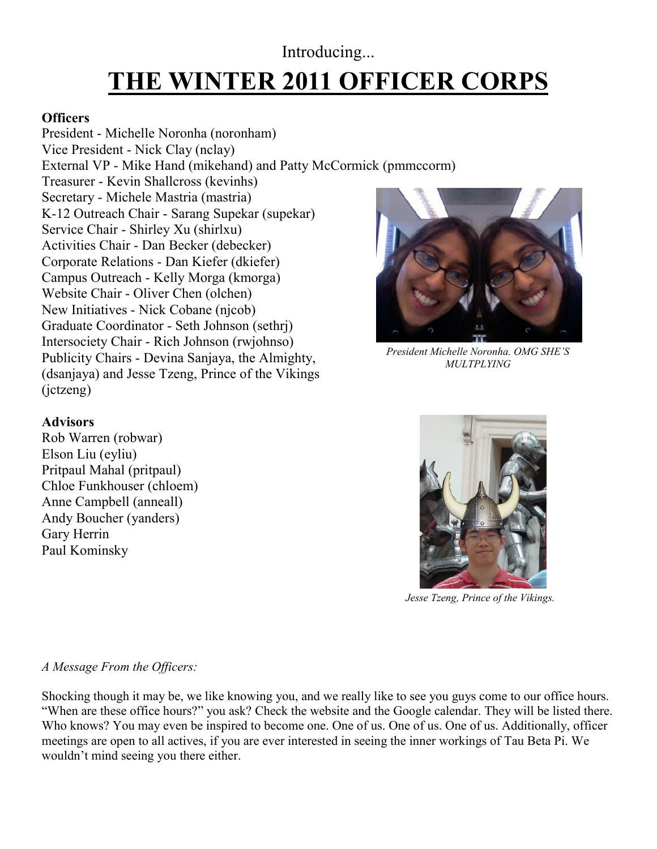## **THE WINTER 2011 OFFICER CORPS** Introducing...

#### **Officers**

President - Michelle Noronha (noronham) Vice President - Nick Clay (nclay) External VP - Mike Hand (mikehand) and Patty McCormick (pmmccorm) Treasurer - Kevin Shallcross (kevinhs) Secretary - Michele Mastria (mastria) K-12 Outreach Chair - Sarang Supekar (supekar) Service Chair - Shirley Xu (shirlxu) Activities Chair - Dan Becker (debecker) Corporate Relations - Dan Kiefer (dkiefer) Campus Outreach - Kelly Morga (kmorga) Website Chair - Oliver Chen (olchen) New Initiatives - Nick Cobane (njcob) Graduate Coordinator - Seth Johnson (sethrj) Intersociety Chair - Rich Johnson (rwjohnso) Publicity Chairs - Devina Sanjaya, the Almighty, (dsanjaya) and Jesse Tzeng, Prince of the Vikings (jctzeng)



Rob Warren (robwar) Elson Liu (eyliu) Pritpaul Mahal (pritpaul) Chloe Funkhouser (chloem) Anne Campbell (anneall) Andy Boucher (yanders) Gary Herrin Paul Kominsky



*President Michelle Noronha. OMG SHE'S MULTPLYING*



*Jesse Tzeng, Prince of the Vikings.*

#### *A Message From the Officers:*

Shocking though it may be, we like knowing you, and we really like to see you guys come to our office hours. "When are these office hours?" you ask? Check the website and the Google calendar. They will be listed there. Who knows? You may even be inspired to become one. One of us. One of us. One of us. Additionally, officer meetings are open to all actives, if you are ever interested in seeing the inner workings of Tau Beta Pi. We wouldn't mind seeing you there either.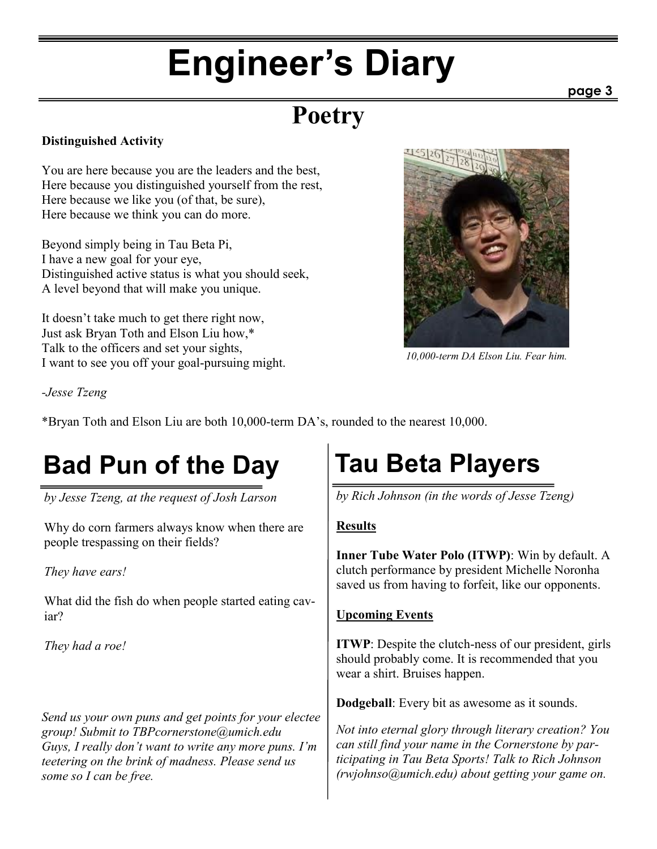# **Engineer's Diary**

## **Poetry**

#### **Distinguished Activity**

You are here because you are the leaders and the best, Here because you distinguished yourself from the rest, Here because we like you (of that, be sure), Here because we think you can do more.

Beyond simply being in Tau Beta Pi, I have a new goal for your eye, Distinguished active status is what you should seek, A level beyond that will make you unique.

It doesn't take much to get there right now, Just ask Bryan Toth and Elson Liu how,\* Talk to the officers and set your sights, I want to see you off your goal-pursuing might.



*10,000-term DA Elson Liu. Fear him.*

#### *-Jesse Tzeng*

\*Bryan Toth and Elson Liu are both 10,000-term DA's, rounded to the nearest 10,000.

## **Bad Pun of the Day Tau Beta Players**

*by Jesse Tzeng, at the request of Josh Larson*

Why do corn farmers always know when there are people trespassing on their fields?

*They have ears!*

What did the fish do when people started eating caviar?

*They had a roe!*

*Send us your own puns and get points for your electee group! Submit to TBPcornerstone@umich.edu Guys, I really don't want to write any more puns. I'm teetering on the brink of madness. Please send us some so I can be free.*

*by Rich Johnson (in the words of Jesse Tzeng)*

### **Results**

**Inner Tube Water Polo (ITWP)**: Win by default. A clutch performance by president Michelle Noronha saved us from having to forfeit, like our opponents.

#### **Upcoming Events**

**ITWP**: Despite the clutch-ness of our president, girls should probably come. It is recommended that you wear a shirt. Bruises happen.

**Dodgeball**: Every bit as awesome as it sounds.

*Not into eternal glory through literary creation? You can still find your name in the Cornerstone by participating in Tau Beta Sports! Talk to Rich Johnson (rwjohnso@umich.edu) about getting your game on.*